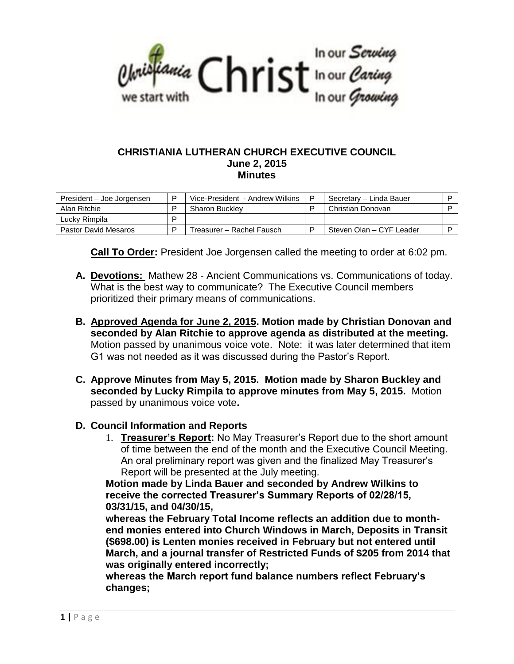

#### **CHRISTIANIA LUTHERAN CHURCH EXECUTIVE COUNCIL June 2, 2015 Minutes**

| President – Joe Jorgensen   | ם | Vice-President - Andrew Wilkins | P | Secretary - Linda Bauer  |  |
|-----------------------------|---|---------------------------------|---|--------------------------|--|
| Alan Ritchie                |   | <b>Sharon Buckley</b>           |   | Christian Donovan        |  |
| Luckv Rimpila               | ם |                                 |   |                          |  |
| <b>Pastor David Mesaros</b> | ם | Freasurer – Rachel Fausch       |   | Steven Olan - CYF Leader |  |

**Call To Order:** President Joe Jorgensen called the meeting to order at 6:02 pm.

- **A. Devotions:** Mathew 28 Ancient Communications vs. Communications of today. What is the best way to communicate? The Executive Council members prioritized their primary means of communications.
- **B. Approved Agenda for June 2, 2015. Motion made by Christian Donovan and seconded by Alan Ritchie to approve agenda as distributed at the meeting.**  Motion passed by unanimous voice vote. Note: it was later determined that item G1 was not needed as it was discussed during the Pastor's Report.
- **C. Approve Minutes from May 5, 2015. Motion made by Sharon Buckley and seconded by Lucky Rimpila to approve minutes from May 5, 2015.** Motion passed by unanimous voice vote**.**

### **D. Council Information and Reports**

1. **Treasurer's Report:** No May Treasurer's Report due to the short amount of time between the end of the month and the Executive Council Meeting. An oral preliminary report was given and the finalized May Treasurer's Report will be presented at the July meeting.

**Motion made by Linda Bauer and seconded by Andrew Wilkins to receive the corrected Treasurer's Summary Reports of 02/28/15, 03/31/15, and 04/30/15,** 

**whereas the February Total Income reflects an addition due to monthend monies entered into Church Windows in March, Deposits in Transit (\$698.00) is Lenten monies received in February but not entered until March, and a journal transfer of Restricted Funds of \$205 from 2014 that was originally entered incorrectly;**

**whereas the March report fund balance numbers reflect February's changes;**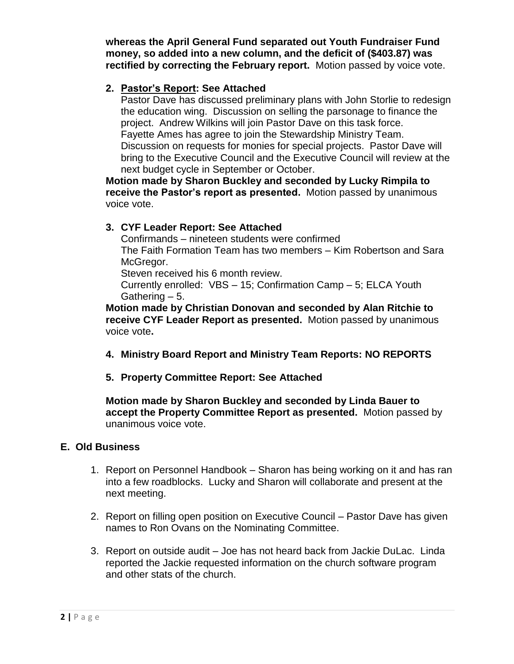**whereas the April General Fund separated out Youth Fundraiser Fund money, so added into a new column, and the deficit of (\$403.87) was rectified by correcting the February report.** Motion passed by voice vote.

## **2. Pastor's Report: See Attached**

Pastor Dave has discussed preliminary plans with John Storlie to redesign the education wing. Discussion on selling the parsonage to finance the project. Andrew Wilkins will join Pastor Dave on this task force. Fayette Ames has agree to join the Stewardship Ministry Team. Discussion on requests for monies for special projects. Pastor Dave will bring to the Executive Council and the Executive Council will review at the next budget cycle in September or October.

**Motion made by Sharon Buckley and seconded by Lucky Rimpila to receive the Pastor's report as presented.** Motion passed by unanimous voice vote.

### **3. CYF Leader Report: See Attached**

Confirmands – nineteen students were confirmed The Faith Formation Team has two members – Kim Robertson and Sara McGregor.

Steven received his 6 month review.

Currently enrolled: VBS – 15; Confirmation Camp – 5; ELCA Youth Gathering – 5.

**Motion made by Christian Donovan and seconded by Alan Ritchie to receive CYF Leader Report as presented.** Motion passed by unanimous voice vote**.**

- **4. Ministry Board Report and Ministry Team Reports: NO REPORTS**
- **5. Property Committee Report: See Attached**

**Motion made by Sharon Buckley and seconded by Linda Bauer to accept the Property Committee Report as presented.** Motion passed by unanimous voice vote.

### **E. Old Business**

- 1. Report on Personnel Handbook Sharon has being working on it and has ran into a few roadblocks. Lucky and Sharon will collaborate and present at the next meeting.
- 2. Report on filling open position on Executive Council Pastor Dave has given names to Ron Ovans on the Nominating Committee.
- 3. Report on outside audit Joe has not heard back from Jackie DuLac. Linda reported the Jackie requested information on the church software program and other stats of the church.